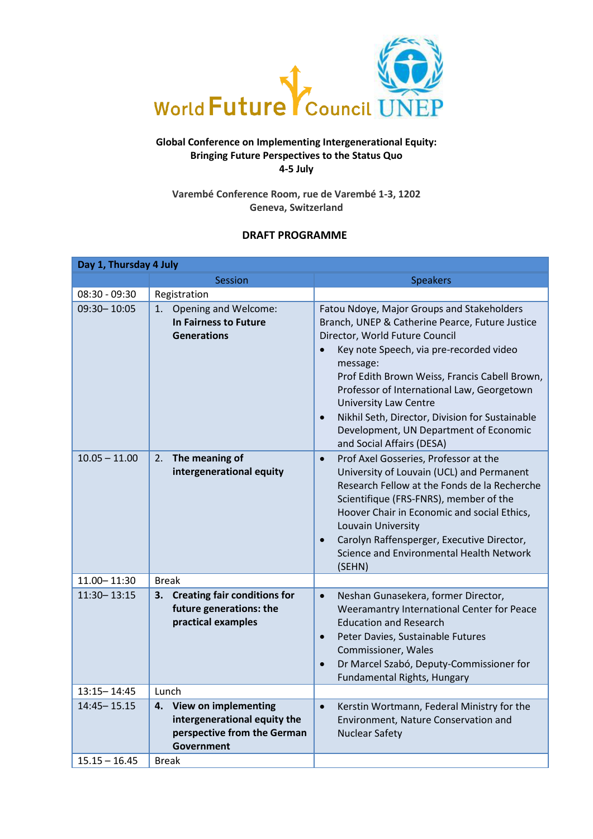

## **Global Conference on Implementing Intergenerational Equity: Bringing Future Perspectives to the Status Quo 4-5 July**

**Varembé Conference Room, rue de Varembé 1-3, 1202 Geneva, Switzerland**

# **DRAFT PROGRAMME**

| Day 1, Thursday 4 July |                                                                                                                |                                                                                                                                                                                                                                                                                                                                                                                                                                                                           |  |  |  |
|------------------------|----------------------------------------------------------------------------------------------------------------|---------------------------------------------------------------------------------------------------------------------------------------------------------------------------------------------------------------------------------------------------------------------------------------------------------------------------------------------------------------------------------------------------------------------------------------------------------------------------|--|--|--|
|                        | <b>Session</b>                                                                                                 | <b>Speakers</b>                                                                                                                                                                                                                                                                                                                                                                                                                                                           |  |  |  |
| $08:30 - 09:30$        | Registration                                                                                                   |                                                                                                                                                                                                                                                                                                                                                                                                                                                                           |  |  |  |
| $09:30 - 10:05$        | Opening and Welcome:<br>1.<br>In Fairness to Future<br><b>Generations</b>                                      | Fatou Ndoye, Major Groups and Stakeholders<br>Branch, UNEP & Catherine Pearce, Future Justice<br>Director, World Future Council<br>Key note Speech, via pre-recorded video<br>$\bullet$<br>message:<br>Prof Edith Brown Weiss, Francis Cabell Brown,<br>Professor of International Law, Georgetown<br><b>University Law Centre</b><br>Nikhil Seth, Director, Division for Sustainable<br>$\bullet$<br>Development, UN Department of Economic<br>and Social Affairs (DESA) |  |  |  |
| $10.05 - 11.00$        | The meaning of<br>2.<br>intergenerational equity                                                               | Prof Axel Gosseries, Professor at the<br>$\bullet$<br>University of Louvain (UCL) and Permanent<br>Research Fellow at the Fonds de la Recherche<br>Scientifique (FRS-FNRS), member of the<br>Hoover Chair in Economic and social Ethics,<br>Louvain University<br>Carolyn Raffensperger, Executive Director,<br>$\bullet$<br>Science and Environmental Health Network<br>(SEHN)                                                                                           |  |  |  |
| $11.00 - 11:30$        | <b>Break</b>                                                                                                   |                                                                                                                                                                                                                                                                                                                                                                                                                                                                           |  |  |  |
| $11:30 - 13:15$        | 3. Creating fair conditions for<br>future generations: the<br>practical examples                               | Neshan Gunasekera, former Director,<br>$\bullet$<br>Weeramantry International Center for Peace<br><b>Education and Research</b><br>Peter Davies, Sustainable Futures<br>$\bullet$<br>Commissioner, Wales<br>Dr Marcel Szabó, Deputy-Commissioner for<br>$\bullet$<br>Fundamental Rights, Hungary                                                                                                                                                                          |  |  |  |
| $13:15 - 14:45$        | Lunch                                                                                                          |                                                                                                                                                                                                                                                                                                                                                                                                                                                                           |  |  |  |
| $14:45 - 15.15$        | <b>View on implementing</b><br>4.<br>intergenerational equity the<br>perspective from the German<br>Government | Kerstin Wortmann, Federal Ministry for the<br>$\bullet$<br>Environment, Nature Conservation and<br><b>Nuclear Safety</b>                                                                                                                                                                                                                                                                                                                                                  |  |  |  |
| $15.15 - 16.45$        | <b>Break</b>                                                                                                   |                                                                                                                                                                                                                                                                                                                                                                                                                                                                           |  |  |  |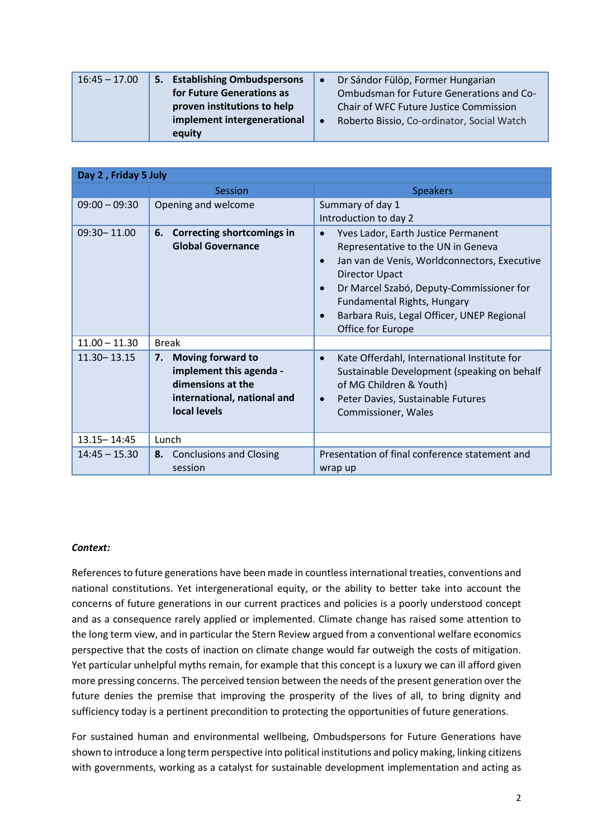| $16:45 - 17.00$ | 5. Establishing Ombudspersons |           | Dr Sándor Fülöp, Former Hungarian          |
|-----------------|-------------------------------|-----------|--------------------------------------------|
|                 | for Future Generations as     |           | Ombudsman for Future Generations and Co-   |
|                 | proven institutions to help   |           | Chair of WFC Future Justice Commission     |
|                 | implement intergenerational   | $\bullet$ | Roberto Bissio, Co-ordinator, Social Watch |
|                 | equity                        |           |                                            |

| Day 2, Friday 5 July |                                                                                                                               |                                                                                                                                                                                                                                                                                                                                         |  |  |  |
|----------------------|-------------------------------------------------------------------------------------------------------------------------------|-----------------------------------------------------------------------------------------------------------------------------------------------------------------------------------------------------------------------------------------------------------------------------------------------------------------------------------------|--|--|--|
|                      | Session                                                                                                                       | <b>Speakers</b>                                                                                                                                                                                                                                                                                                                         |  |  |  |
| $09:00 - 09:30$      | Opening and welcome                                                                                                           | Summary of day 1<br>Introduction to day 2                                                                                                                                                                                                                                                                                               |  |  |  |
| $09:30 - 11.00$      | <b>Correcting shortcomings in</b><br>6.<br><b>Global Governance</b>                                                           | Yves Lador, Earth Justice Permanent<br>$\bullet$<br>Representative to the UN in Geneva<br>Jan van de Venis, Worldconnectors, Executive<br>$\bullet$<br><b>Director Upact</b><br>Dr Marcel Szabó, Deputy-Commissioner for<br>Fundamental Rights, Hungary<br>Barbara Ruis, Legal Officer, UNEP Regional<br>$\bullet$<br>Office for Europe |  |  |  |
| $11.00 - 11.30$      | <b>Break</b>                                                                                                                  |                                                                                                                                                                                                                                                                                                                                         |  |  |  |
| $11.30 - 13.15$      | <b>Moving forward to</b><br>7.<br>implement this agenda -<br>dimensions at the<br>international, national and<br>local levels | Kate Offerdahl, International Institute for<br>$\bullet$<br>Sustainable Development (speaking on behalf<br>of MG Children & Youth)<br>Peter Davies, Sustainable Futures<br>$\bullet$<br>Commissioner, Wales                                                                                                                             |  |  |  |
| $13.15 - 14:45$      | Lunch                                                                                                                         |                                                                                                                                                                                                                                                                                                                                         |  |  |  |
| $14:45 - 15.30$      | <b>Conclusions and Closing</b><br>8.<br>session                                                                               | Presentation of final conference statement and<br>wrap up                                                                                                                                                                                                                                                                               |  |  |  |

## *Context:*

References to future generations have been made in countless international treaties, conventions and national constitutions. Yet intergenerational equity, or the ability to better take into account the concerns of future generations in our current practices and policies is a poorly understood concept and as a consequence rarely applied or implemented. Climate change has raised some attention to the long term view, and in particular the Stern Review argued from a conventional welfare economics perspective that the costs of inaction on climate change would far outweigh the costs of mitigation. Yet particular unhelpful myths remain, for example that this concept is a luxury we can ill afford given more pressing concerns. The perceived tension between the needs of the present generation over the future denies the premise that improving the prosperity of the lives of all, to bring dignity and sufficiency today is a pertinent precondition to protecting the opportunities of future generations.

For sustained human and environmental wellbeing, Ombudspersons for Future Generations have shown to introduce a long term perspective into political institutions and policy making, linking citizens with governments, working as a catalyst for sustainable development implementation and acting as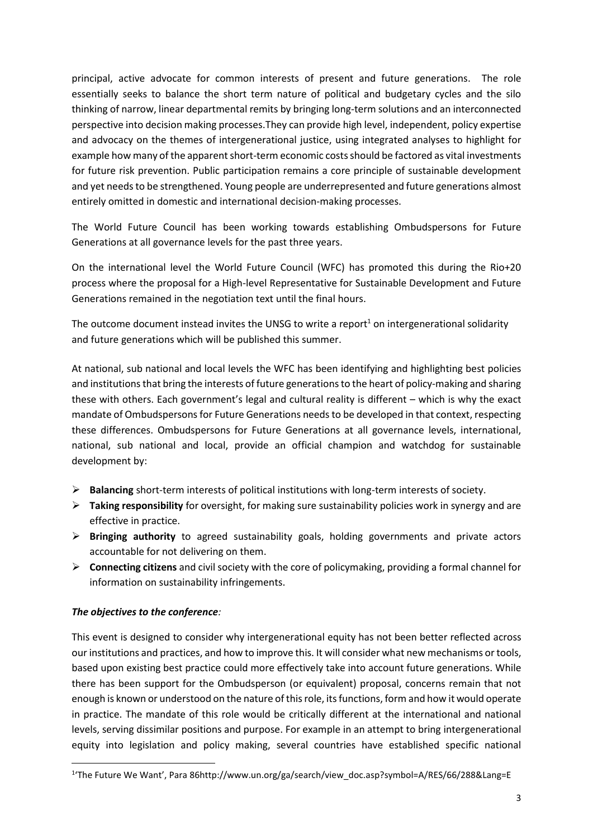principal, active advocate for common interests of present and future generations. The role essentially seeks to balance the short term nature of political and budgetary cycles and the silo thinking of narrow, linear departmental remits by bringing long-term solutions and an interconnected perspective into decision making processes.They can provide high level, independent, policy expertise and advocacy on the themes of intergenerational justice, using integrated analyses to highlight for example how many of the apparent short-term economic costs should be factored as vital investments for future risk prevention. Public participation remains a core principle of sustainable development and yet needs to be strengthened. Young people are underrepresented and future generations almost entirely omitted in domestic and international decision-making processes.

The World Future Council has been working towards establishing Ombudspersons for Future Generations at all governance levels for the past three years.

On the international level the World Future Council (WFC) has promoted this during the Rio+20 process where the proposal for a High-level Representative for Sustainable Development and Future Generations remained in the negotiation text until the final hours.

The outcome document instead invites the UNSG to write a report<sup>1</sup> on intergenerational solidarity and future generations which will be published this summer.

At national, sub national and local levels the WFC has been identifying and highlighting best policies and institutions that bring the interests of future generations to the heart of policy-making and sharing these with others. Each government's legal and cultural reality is different – which is why the exact mandate of Ombudspersons for Future Generations needs to be developed in that context, respecting these differences. Ombudspersons for Future Generations at all governance levels, international, national, sub national and local, provide an official champion and watchdog for sustainable development by:

- **Balancing** short-term interests of political institutions with long-term interests of society.
- **Taking responsibility** for oversight, for making sure sustainability policies work in synergy and are effective in practice.
- **Bringing authority** to agreed sustainability goals, holding governments and private actors accountable for not delivering on them.
- **Connecting citizens** and civil society with the core of policymaking, providing a formal channel for information on sustainability infringements.

## *The objectives to the conference:*

1

This event is designed to consider why intergenerational equity has not been better reflected across our institutions and practices, and how to improve this. It will consider what new mechanisms or tools, based upon existing best practice could more effectively take into account future generations. While there has been support for the Ombudsperson (or equivalent) proposal, concerns remain that not enough is known or understood on the nature of this role, its functions, form and how it would operate in practice. The mandate of this role would be critically different at the international and national levels, serving dissimilar positions and purpose. For example in an attempt to bring intergenerational equity into legislation and policy making, several countries have established specific national

<sup>1</sup> 'The Future We Want', Para 86http://www.un.org/ga/search/view\_doc.asp?symbol=A/RES/66/288&Lang=E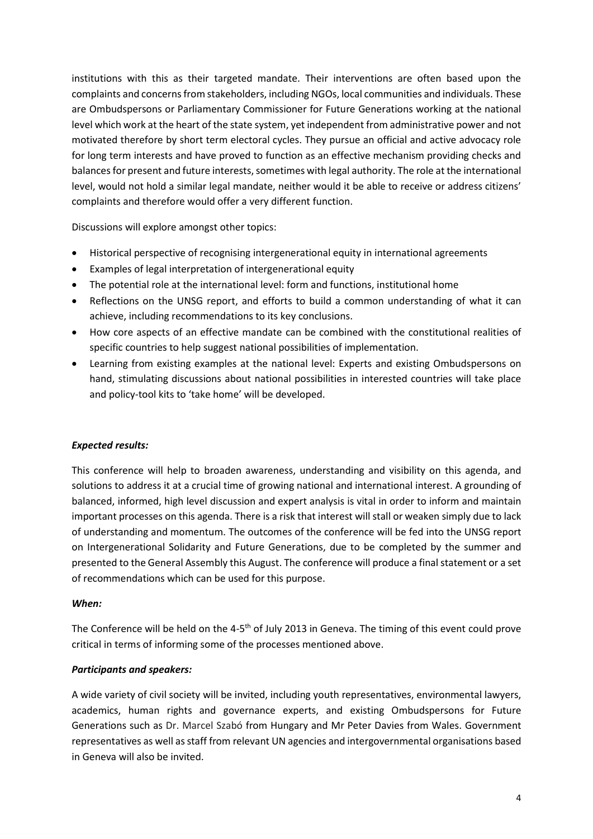institutions with this as their targeted mandate. Their interventions are often based upon the complaints and concerns from stakeholders, including NGOs, local communities and individuals. These are Ombudspersons or Parliamentary Commissioner for Future Generations working at the national level which work at the heart of the state system, yet independent from administrative power and not motivated therefore by short term electoral cycles. They pursue an official and active advocacy role for long term interests and have proved to function as an effective mechanism providing checks and balances for present and future interests, sometimes with legal authority. The role at the international level, would not hold a similar legal mandate, neither would it be able to receive or address citizens' complaints and therefore would offer a very different function.

Discussions will explore amongst other topics:

- Historical perspective of recognising intergenerational equity in international agreements
- Examples of legal interpretation of intergenerational equity
- The potential role at the international level: form and functions, institutional home
- Reflections on the UNSG report, and efforts to build a common understanding of what it can achieve, including recommendations to its key conclusions.
- How core aspects of an effective mandate can be combined with the constitutional realities of specific countries to help suggest national possibilities of implementation.
- Learning from existing examples at the national level: Experts and existing Ombudspersons on hand, stimulating discussions about national possibilities in interested countries will take place and policy-tool kits to 'take home' will be developed.

## *Expected results:*

This conference will help to broaden awareness, understanding and visibility on this agenda, and solutions to address it at a crucial time of growing national and international interest. A grounding of balanced, informed, high level discussion and expert analysis is vital in order to inform and maintain important processes on this agenda. There is a risk that interest will stall or weaken simply due to lack of understanding and momentum. The outcomes of the conference will be fed into the UNSG report on Intergenerational Solidarity and Future Generations, due to be completed by the summer and presented to the General Assembly this August. The conference will produce a final statement or a set of recommendations which can be used for this purpose.

#### *When:*

The Conference will be held on the 4-5<sup>th</sup> of July 2013 in Geneva. The timing of this event could prove critical in terms of informing some of the processes mentioned above.

## *Participants and speakers:*

A wide variety of civil society will be invited, including youth representatives, environmental lawyers, academics, human rights and governance experts, and existing Ombudspersons for Future Generations such as Dr. Marcel Szabó from Hungary and Mr Peter Davies from Wales. Government representatives as well as staff from relevant UN agencies and intergovernmental organisations based in Geneva will also be invited.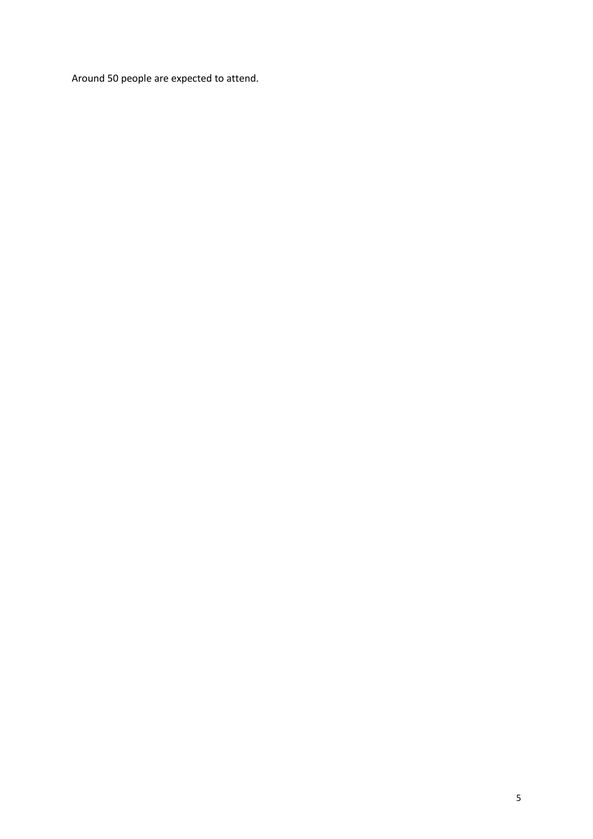Around 50 people are expected to attend.